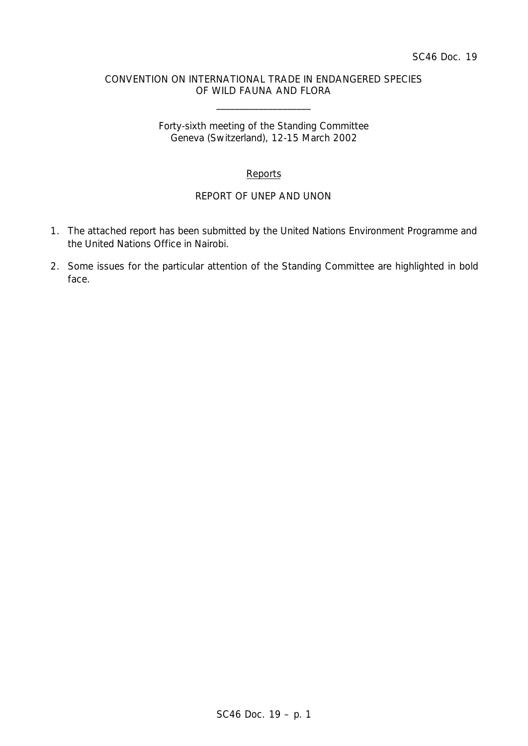### CONVENTION ON INTERNATIONAL TRADE IN ENDANGERED SPECIES OF WILD FAUNA AND FLORA

\_\_\_\_\_\_\_\_\_\_\_\_\_\_\_\_\_\_\_\_

Forty-sixth meeting of the Standing Committee Geneva (Switzerland), 12-15 March 2002

## Reports

## REPORT OF UNEP AND UNON

- 1. The attached report has been submitted by the United Nations Environment Programme and the United Nations Office in Nairobi.
- 2. Some issues for the particular attention of the Standing Committee are highlighted in bold face.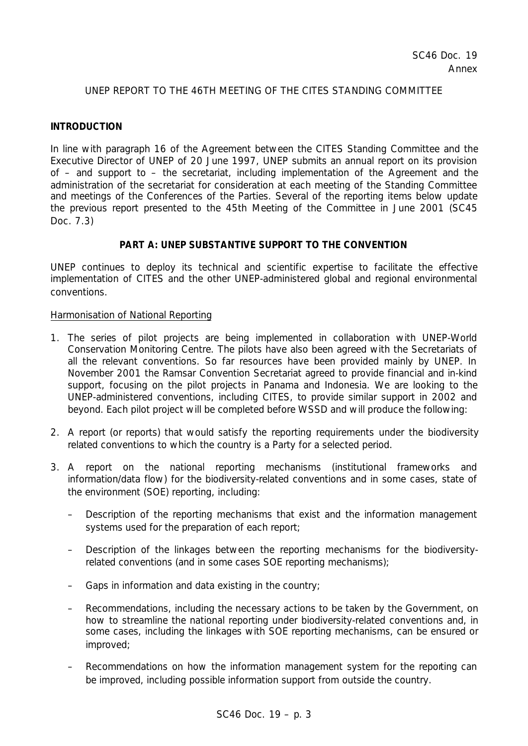### UNEP REPORT TO THE 46TH MEETING OF THE CITES STANDING COMMITTEE

#### **INTRODUCTION**

In line with paragraph 16 of the Agreement between the CITES Standing Committee and the Executive Director of UNEP of 20 June 1997, UNEP submits an annual report on its provision of – and support to – the secretariat, including implementation of the Agreement and the administration of the secretariat for consideration at each meeting of the Standing Committee and meetings of the Conferences of the Parties. Several of the reporting items below update the previous report presented to the 45th Meeting of the Committee in June 2001 (SC45 Doc. 7.3)

### **PART A: UNEP SUBSTANTIVE SUPPORT TO THE CONVENTION**

UNEP continues to deploy its technical and scientific expertise to facilitate the effective implementation of CITES and the other UNEP-administered global and regional environmental conventions.

#### Harmonisation of National Reporting

- 1. The series of pilot projects are being implemented in collaboration with UNEP-World Conservation Monitoring Centre. The pilots have also been agreed with the Secretariats of all the relevant conventions. So far resources have been provided mainly by UNEP. In November 2001 the Ramsar Convention Secretariat agreed to provide financial and in-kind support, focusing on the pilot projects in Panama and Indonesia. We are looking to the UNEP-administered conventions, including CITES, to provide similar support in 2002 and beyond. Each pilot project will be completed before WSSD and will produce the following:
- 2. A report (or reports) that would satisfy the reporting requirements under the biodiversity related conventions to which the country is a Party for a selected period.
- 3. A report on the national reporting mechanisms (institutional frameworks and information/data flow) for the biodiversity-related conventions and in some cases, state of the environment (SOE) reporting, including:
	- Description of the reporting mechanisms that exist and the information management systems used for the preparation of each report;
	- Description of the linkages between the reporting mechanisms for the biodiversityrelated conventions (and in some cases SOE reporting mechanisms);
	- Gaps in information and data existing in the country;
	- Recommendations, including the necessary actions to be taken by the Government, on how to streamline the national reporting under biodiversity-related conventions and, in some cases, including the linkages with SOE reporting mechanisms, can be ensured or improved;
	- Recommendations on how the information management system for the reporting can be improved, including possible information support from outside the country.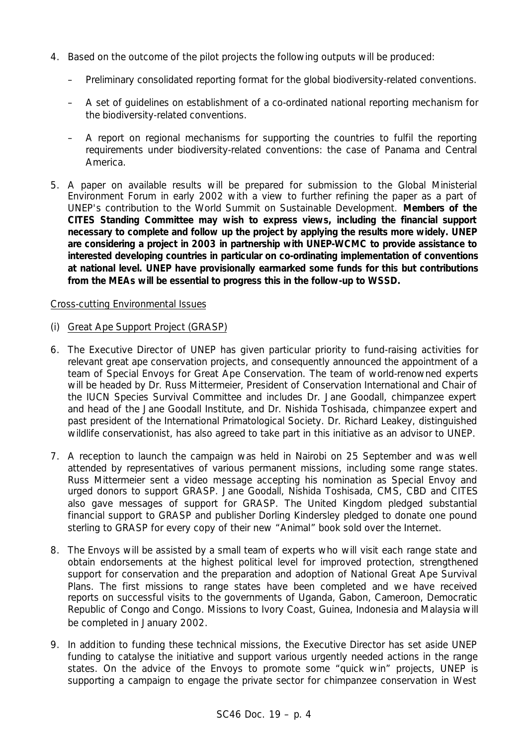- 4. Based on the outcome of the pilot projects the following outputs will be produced:
	- Preliminary consolidated reporting format for the global biodiversity-related conventions.
	- A set of guidelines on establishment of a co-ordinated national reporting mechanism for the biodiversity-related conventions.
	- A report on regional mechanisms for supporting the countries to fulfil the reporting requirements under biodiversity-related conventions: the case of Panama and Central America.
- 5. A paper on available results will be prepared for submission to the Global Ministerial Environment Forum in early 2002 with a view to further refining the paper as a part of UNEP's contribution to the World Summit on Sustainable Development. **Members of the CITES Standing Committee may wish to express views, including the financial support necessary to complete and follow up the project by applying the results more widely. UNEP are considering a project in 2003 in partnership with UNEP-WCMC to provide assistance to interested developing countries in particular on co-ordinating implementation of conventions at national level. UNEP have provisionally earmarked some funds for this but contributions from the MEAs will be essential to progress this in the follow-up to WSSD.**

## Cross-cutting Environmental Issues

- (i) Great Ape Support Project (GRASP)
- 6. The Executive Director of UNEP has given particular priority to fund-raising activities for relevant great ape conservation projects, and consequently announced the appointment of a team of Special Envoys for Great Ape Conservation. The team of world-renowned experts will be headed by Dr. Russ Mittermeier, President of Conservation International and Chair of the IUCN Species Survival Committee and includes Dr. Jane Goodall, chimpanzee expert and head of the Jane Goodall Institute, and Dr. Nishida Toshisada, chimpanzee expert and past president of the International Primatological Society. Dr. Richard Leakey, distinguished wildlife conservationist, has also agreed to take part in this initiative as an advisor to UNEP.
- 7. A reception to launch the campaign was held in Nairobi on 25 September and was well attended by representatives of various permanent missions, including some range states. Russ Mittermeier sent a video message accepting his nomination as Special Envoy and urged donors to support GRASP. Jane Goodall, Nishida Toshisada, CMS, CBD and CITES also gave messages of support for GRASP. The United Kingdom pledged substantial financial support to GRASP and publisher Dorling Kindersley pledged to donate one pound sterling to GRASP for every copy of their new "*Animal*" book sold over the Internet.
- 8. The Envoys will be assisted by a small team of experts who will visit each range state and obtain endorsements at the highest political level for improved protection, strengthened support for conservation and the preparation and adoption of National Great Ape Survival Plans. The first missions to range states have been completed and we have received reports on successful visits to the governments of Uganda, Gabon, Cameroon, Democratic Republic of Congo and Congo. Missions to Ivory Coast, Guinea, Indonesia and Malaysia will be completed in January 2002.
- 9. In addition to funding these technical missions, the Executive Director has set aside UNEP funding to catalyse the initiative and support various urgently needed actions in the range states. On the advice of the Envoys to promote some "quick win" projects, UNEP is supporting a campaign to engage the private sector for chimpanzee conservation in West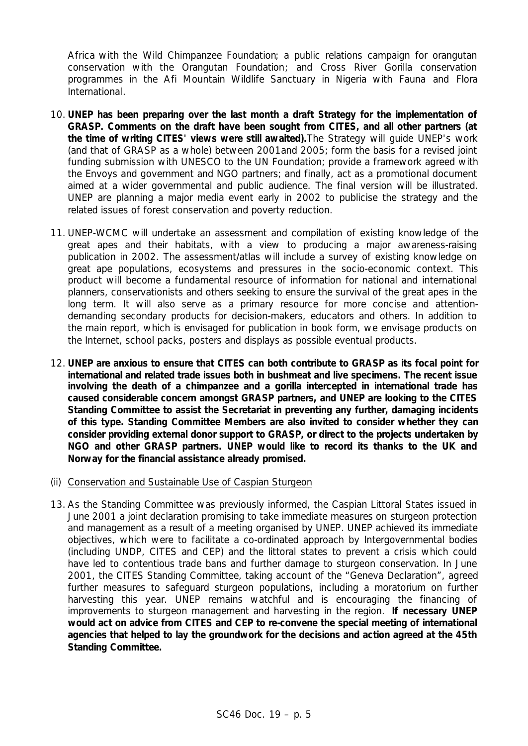Africa with the *Wild Chimpanzee Foundation*; a public relations campaign for orangutan conservation with the *Orangutan Foundation*; and Cross River Gorilla conservation programmes in the Afi Mountain Wildlife Sanctuary in Nigeria with *Fauna and Flora International*.

- 10. **UNEP has been preparing over the last month a draft Strategy for the implementation of GRASP. Comments on the draft have been sought from CITES, and all other partners (at the time of writing CITES' views were still awaited).**The Strategy will guide UNEP's work (and that of GRASP as a whole) between 2001and 2005; form the basis for a revised joint funding submission with UNESCO to the UN Foundation; provide a framework agreed with the Envoys and government and NGO partners; and finally, act as a promotional document aimed at a wider governmental and public audience. The final version will be illustrated. UNEP are planning a major media event early in 2002 to publicise the strategy and the related issues of forest conservation and poverty reduction.
- 11. UNEP-WCMC will undertake an assessment and compilation of existing knowledge of the great apes and their habitats, with a view to producing a major awareness-raising publication in 2002. The assessment/atlas will include a survey of existing knowledge on great ape populations, ecosystems and pressures in the socio-economic context. This product will become a fundamental resource of information for national and international planners, conservationists and others seeking to ensure the survival of the great apes in the long term. It will also serve as a primary resource for more concise and attentiondemanding secondary products for decision-makers, educators and others. In addition to the main report, which is envisaged for publication in book form, we envisage products on the Internet, school packs, posters and displays as possible eventual products.
- 12. **UNEP are anxious to ensure that CITES can both contribute to GRASP as its focal point for international and related trade issues both in bushmeat and live specimens. The recent issue involving the death of a chimpanzee and a gorilla intercepted in international trade has caused considerable concern amongst GRASP partners, and UNEP are looking to the CITES Standing Committee to assist the Secretariat in preventing any further, damaging incidents of this type. Standing Committee Members are also invited to consider whether they can consider providing external donor support to GRASP, or direct to the projects undertaken by NGO and other GRASP partners. UNEP would like to record its thanks to the UK and Norway for the financial assistance already promised.**
- (ii) Conservation and Sustainable Use of Caspian Sturgeon
- 13. As the Standing Committee was previously informed, the Caspian Littoral States issued in June 2001 a joint declaration promising to take immediate measures on sturgeon protection and management as a result of a meeting organised by UNEP. UNEP achieved its immediate objectives, which were to facilitate a co-ordinated approach by Intergovernmental bodies (including UNDP, CITES and CEP) and the littoral states to prevent a crisis which could have led to contentious trade bans and further damage to sturgeon conservation. In June 2001, the CITES Standing Committee, taking account of the "Geneva Declaration", agreed further measures to safeguard sturgeon populations, including a moratorium on further harvesting this year. UNEP remains watchful and is encouraging the financing of improvements to sturgeon management and harvesting in the region. **If necessary UNEP would act on advice from CITES and CEP to re-convene the special meeting of international agencies that helped to lay the groundwork for the decisions and action agreed at the 45th Standing Committee.**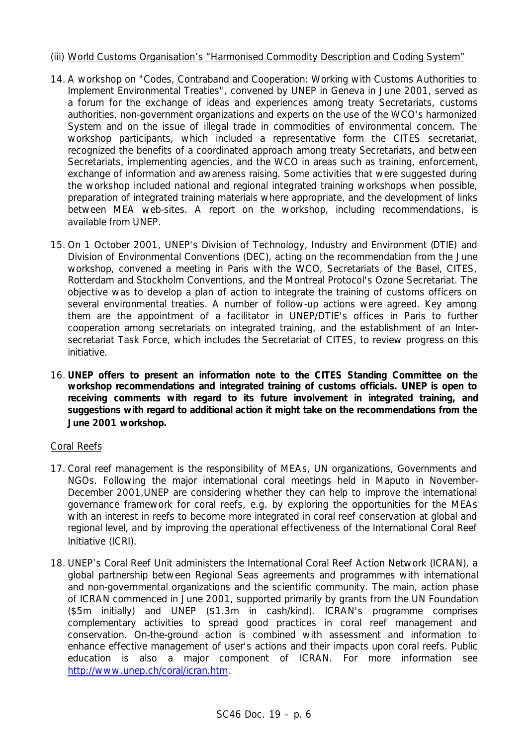## (iii) World Customs Organisation's "Harmonised Commodity Description and Coding System"

- 14. A workshop on "Codes, Contraband and Cooperation: Working with Customs Authorities to Implement Environmental Treaties", convened by UNEP in Geneva in June 2001, served as a forum for the exchange of ideas and experiences among treaty Secretariats, customs authorities, non-government organizations and experts on the use of the WCO's harmonized System and on the issue of illegal trade in commodities of environmental concern. The workshop participants, which included a representative form the CITES secretariat, recognized the benefits of a coordinated approach among treaty Secretariats, and between Secretariats, implementing agencies, and the WCO in areas such as training, enforcement, exchange of information and awareness raising. Some activities that were suggested during the workshop included national and regional integrated training workshops when possible, preparation of integrated training materials where appropriate, and the development of links between MEA web-sites. A report on the workshop, including recommendations, is available from UNEP.
- 15. On 1 October 2001, UNEP's Division of Technology, Industry and Environment (DTIE) and Division of Environmental Conventions (DEC), acting on the recommendation from the June workshop, convened a meeting in Paris with the WCO, Secretariats of the Basel. CITES. Rotterdam and Stockholm Conventions, and the Montreal Protocol's Ozone Secretariat. The objective was to develop a plan of action to integrate the training of customs officers on several environmental treaties. A number of follow-up actions were agreed. Key among them are the appointment of a facilitator in UNEP/DTIE's offices in Paris to further cooperation among secretariats on integrated training, and the establishment of an Intersecretariat Task Force, which includes the Secretariat of CITES, to review progress on this initiative.
- 16. **UNEP offers to present an information note to the CITES Standing Committee on the workshop recommendations and integrated training of customs officials. UNEP is open to receiving comments with regard to its future involvement in integrated training, and suggestions with regard to additional action it might take on the recommendations from the June 2001 workshop.**

# Coral Reefs

- 17. Coral reef management is the responsibility of MEAs, UN organizations, Governments and NGOs. Following the major international coral meetings held in Maputo in November-December 2001,UNEP are considering whether they can help to improve the international governance framework for coral reefs, e.g. by exploring the opportunities for the MEAs with an interest in reefs to become more integrated in coral reef conservation at global and regional level, and by improving the operational effectiveness of the International Coral Reef Initiative (ICRI).
- 18. UNEP's Coral Reef Unit administers the International Coral Reef Action Network (ICRAN), a global partnership between Regional Seas agreements and programmes with international and non-governmental organizations and the scientific community. The main, action phase of ICRAN commenced in June 2001, supported primarily by grants from the UN Foundation (\$5m initially) and UNEP (\$1.3m in cash/kind). ICRAN's programme comprises complementary activities to spread good practices in coral reef management and conservation. On-the-ground action is combined with assessment and information to enhance effective management of user's actions and their impacts upon coral reefs. Public education is also a major component of ICRAN. For more information see http://www.unep.ch/coral/icran.htm.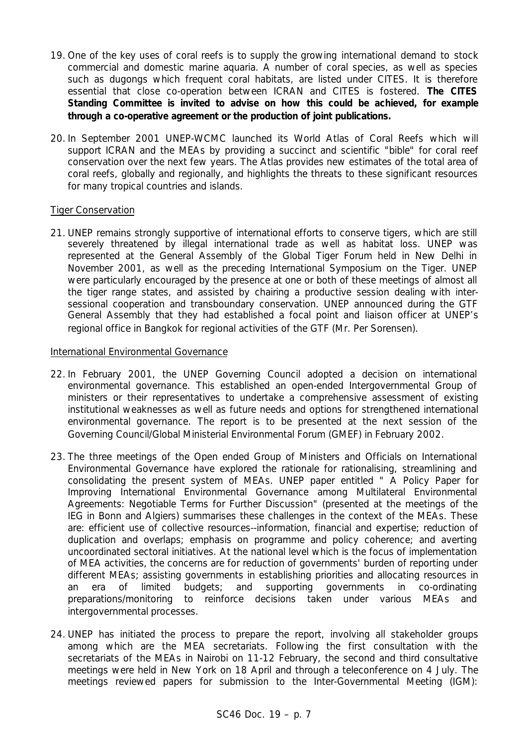- 19. One of the key uses of coral reefs is to supply the growing international demand to stock commercial and domestic marine aquaria. A number of coral species, as well as species such as dugongs which frequent coral habitats, are listed under CITES. It is therefore essential that close co-operation between ICRAN and CITES is fostered. **The CITES Standing Committee is invited to advise on how this could be achieved, for example through a co-operative agreement or the production of joint publications.**
- 20. In September 2001 UNEP-WCMC launched its World Atlas of Coral Reefs which will support ICRAN and the MEAs by providing a succinct and scientific "bible" for coral reef conservation over the next few years. The Atlas provides new estimates of the total area of coral reefs, globally and regionally, and highlights the threats to these significant resources for many tropical countries and islands.

### Tiger Conservation

21. UNEP remains strongly supportive of international efforts to conserve tigers, which are still severely threatened by illegal international trade as well as habitat loss. UNEP was represented at the General Assembly of the Global Tiger Forum held in New Delhi in November 2001, as well as the preceding International Symposium on the Tiger. UNEP were particularly encouraged by the presence at one or both of these meetings of almost all the tiger range states, and assisted by chairing a productive session dealing with intersessional cooperation and transboundary conservation. UNEP announced during the GTF General Assembly that they had established a focal point and liaison officer at UNEP's regional office in Bangkok for regional activities of the GTF (Mr. Per Sorensen).

### International Environmental Governance

- 22. In February 2001, the UNEP Governing Council adopted a decision on international environmental governance. This established an open-ended Intergovernmental Group of ministers or their representatives to undertake a comprehensive assessment of existing institutional weaknesses as well as future needs and options for strengthened international environmental governance. The report is to be presented at the next session of the Governing Council/Global Ministerial Environmental Forum (GMEF) in February 2002.
- 23. The three meetings of the Open ended Group of Ministers and Officials on International Environmental Governance have explored the rationale for rationalising, streamlining and consolidating the present system of MEAs. UNEP paper entitled " A Policy Paper for Improving International Environmental Governance among Multilateral Environmental Agreements: Negotiable Terms for Further Discussion" (presented at the meetings of the IEG in Bonn and Algiers) summarises these challenges in the context of the MEAs. These are: efficient use of collective resources--information, financial and expertise; reduction of duplication and overlaps; emphasis on programme and policy coherence; and averting uncoordinated sectoral initiatives. At the national level which is the focus of implementation of MEA activities, the concerns are for reduction of governments' burden of reporting under different MEAs; assisting governments in establishing priorities and allocating resources in an era of limited budgets; and supporting governments in co-ordinating preparations/monitoring to reinforce decisions taken under various MEAs and intergovernmental processes.
- 24. UNEP has initiated the process to prepare the report, involving all stakeholder groups among which are the MEA secretariats. Following the first consultation with the secretariats of the MEAs in Nairobi on 11-12 February, the second and third consultative meetings were held in New York on 18 April and through a teleconference on 4 July. The meetings reviewed papers for submission to the Inter-Governmental Meeting (IGM):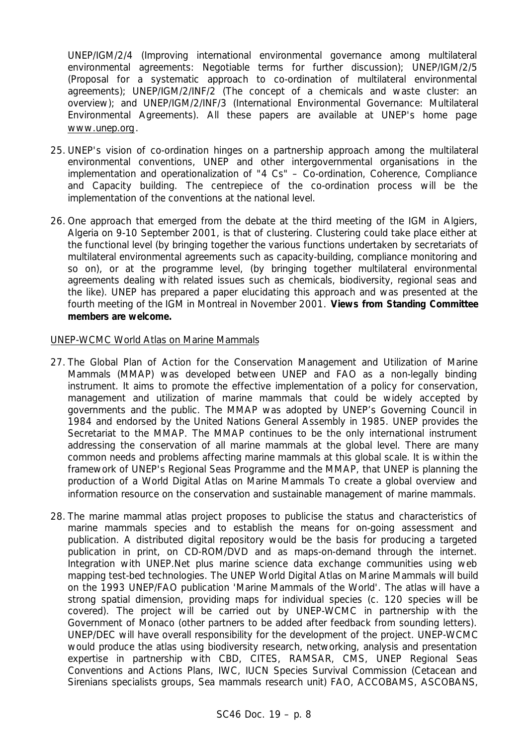UNEP/IGM/2/4 (Improving international environmental governance among multilateral environmental agreements: Negotiable terms for further discussion); UNEP/IGM/2/5 (Proposal for a systematic approach to co-ordination of multilateral environmental agreements); UNEP/IGM/2/INF/2 (The concept of a chemicals and waste cluster: an overview); and UNEP/IGM/2/INF/3 (International Environmental Governance: Multilateral Environmental Agreements). All these papers are available at UNEP's home page www.unep.org.

- 25. UNEP's vision of co-ordination hinges on a partnership approach among the multilateral environmental conventions, UNEP and other intergovernmental organisations in the implementation and operationalization of "4 Cs" – Co-ordination, Coherence, Compliance and Capacity building. The centrepiece of the co-ordination process will be the implementation of the conventions at the national level.
- 26. One approach that emerged from the debate at the third meeting of the IGM in Algiers, Algeria on 9-10 September 2001, is that of clustering. Clustering could take place either at the functional level (by bringing together the various functions undertaken by secretariats of multilateral environmental agreements such as capacity-building, compliance monitoring and so on), or at the programme level, (by bringing together multilateral environmental agreements dealing with related issues such as chemicals, biodiversity, regional seas and the like). UNEP has prepared a paper elucidating this approach and was presented at the fourth meeting of the IGM in Montreal in November 2001. **Views from Standing Committee members are welcome.**

### UNEP-WCMC World Atlas on Marine Mammals

- 27. The Global Plan of Action for the Conservation Management and Utilization of Marine Mammals (MMAP) was developed between UNEP and FAO as a non-legally binding instrument. It aims to promote the effective implementation of a policy for conservation, management and utilization of marine mammals that could be widely accepted by governments and the public. The MMAP was adopted by UNEP's Governing Council in 1984 and endorsed by the United Nations General Assembly in 1985. UNEP provides the Secretariat to the MMAP. The MMAP continues to be the only international instrument addressing the conservation of all marine mammals at the global level. There are many common needs and problems affecting marine mammals at this global scale. It is within the framework of UNEP's Regional Seas Programme and the MMAP, that UNEP is planning the production of a World Digital Atlas on Marine Mammals To create a global overview and information resource on the conservation and sustainable management of marine mammals.
- 28. The marine mammal atlas project proposes to publicise the status and characteristics of marine mammals species and to establish the means for on-going assessment and publication. A distributed digital repository would be the basis for producing a targeted publication in print, on CD-ROM/DVD and as maps-on-demand through the internet. Integration with UNEP.Net plus marine science data exchange communities using web mapping test-bed technologies. The UNEP World Digital Atlas on Marine Mammals will build on the 1993 UNEP/FAO publication 'Marine Mammals of the World'. The atlas will have a strong spatial dimension, providing maps for individual species (c. 120 species will be covered). The project will be carried out by UNEP-WCMC in partnership with the Government of Monaco (other partners to be added after feedback from sounding letters). UNEP/DEC will have overall responsibility for the development of the project. UNEP-WCMC would produce the atlas using biodiversity research, networking, analysis and presentation expertise in partnership with CBD, CITES, RAMSAR, CMS, UNEP Regional Seas Conventions and Actions Plans, IWC, IUCN Species Survival Commission (Cetacean and Sirenians specialists groups, Sea mammals research unit) FAO, ACCOBAMS, ASCOBANS,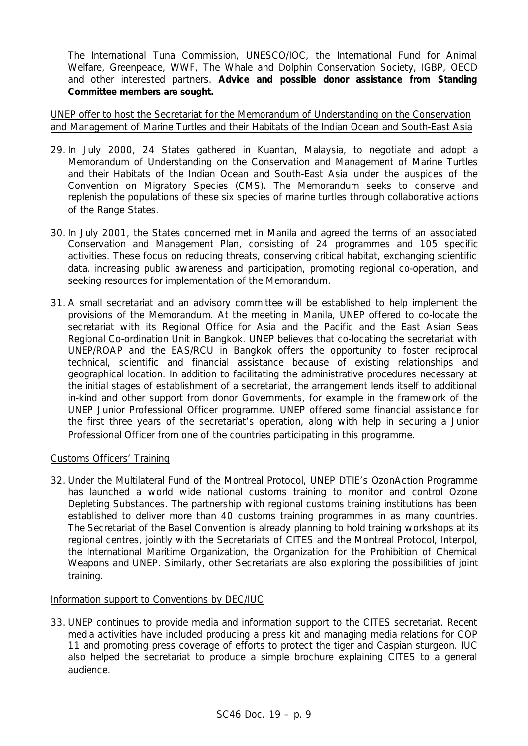The International Tuna Commission, UNESCO/IOC, the International Fund for Animal Welfare, Greenpeace, WWF, The Whale and Dolphin Conservation Society, IGBP, OECD and other interested partners. **Advice and possible donor assistance from Standing Committee members are sought.**

UNEP offer to host the Secretariat for the Memorandum of Understanding on the Conservation and Management of Marine Turtles and their Habitats of the Indian Ocean and South-East Asia

- 29. In July 2000, 24 States gathered in Kuantan, Malaysia, to negotiate and adopt a *Memorandum of Understanding on the Conservation and Management of Marine Turtles and their Habitats of the Indian Ocean and South-East Asia* under the auspices of the Convention on Migratory Species (CMS). The Memorandum seeks to conserve and replenish the populations of these six species of marine turtles through collaborative actions of the Range States.
- 30. In July 2001, the States concerned met in Manila and agreed the terms of an associated Conservation and Management Plan, consisting of 24 programmes and 105 specific activities. These focus on reducing threats, conserving critical habitat, exchanging scientific data, increasing public awareness and participation, promoting regional co-operation, and seeking resources for implementation of the Memorandum.
- 31. A small secretariat and an advisory committee will be established to help implement the provisions of the Memorandum. At the meeting in Manila, UNEP offered to co-locate the secretariat with its Regional Office for Asia and the Pacific and the East Asian Seas Regional Co-ordination Unit in Bangkok. UNEP believes that co-locating the secretariat with UNEP/ROAP and the EAS/RCU in Bangkok offers the opportunity to foster reciprocal technical, scientific and financial assistance because of existing relationships and geographical location. In addition to facilitating the administrative procedures necessary at the initial stages of establishment of a secretariat, the arrangement lends itself to additional in-kind and other support from donor Governments, for example in the framework of the UNEP Junior Professional Officer programme. UNEP offered some financial assistance for the first three years of the secretariat's operation, along with help in securing a Junior Professional Officer from one of the countries participating in this programme.

### Customs Officers' Training

32. Under the Multilateral Fund of the Montreal Protocol, UNEP DTIE's OzonAction Programme has launched a world wide national customs training to monitor and control Ozone Depleting Substances. The partnership with regional customs training institutions has been established to deliver more than 40 customs training programmes in as many countries. The Secretariat of the Basel Convention is already planning to hold training workshops at its regional centres, jointly with the Secretariats of CITES and the Montreal Protocol, Interpol, the International Maritime Organization, the Organization for the Prohibition of Chemical Weapons and UNEP. Similarly, other Secretariats are also exploring the possibilities of joint training.

#### Information support to Conventions by DEC/IUC

33. UNEP continues to provide media and information support to the CITES secretariat. Recent media activities have included producing a press kit and managing media relations for COP 11 and promoting press coverage of efforts to protect the tiger and Caspian sturgeon. IUC also helped the secretariat to produce a simple brochure explaining CITES to a general audience.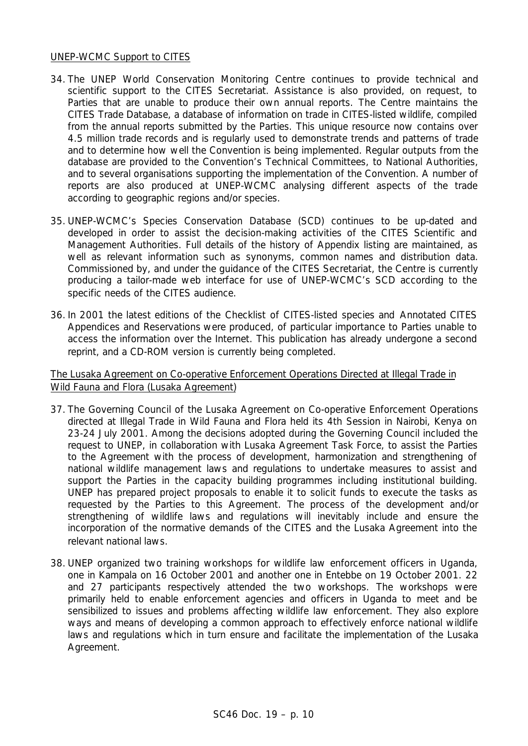### UNEP-WCMC Support to CITES

- 34. The UNEP World Conservation Monitoring Centre continues to provide technical and scientific support to the CITES Secretariat. Assistance is also provided, on request, to Parties that are unable to produce their own annual reports. The Centre maintains the CITES Trade Database, a database of information on trade in CITES-listed wildlife, compiled from the annual reports submitted by the Parties. This unique resource now contains over 4.5 million trade records and is regularly used to demonstrate trends and patterns of trade and to determine how well the Convention is being implemented. Regular outputs from the database are provided to the Convention's Technical Committees, to National Authorities, and to several organisations supporting the implementation of the Convention. A number of reports are also produced at UNEP-WCMC analysing different aspects of the trade according to geographic regions and/or species.
- 35. UNEP-WCMC's Species Conservation Database (SCD) continues to be up-dated and developed in order to assist the decision-making activities of the CITES Scientific and Management Authorities. Full details of the history of Appendix listing are maintained, as well as relevant information such as synonyms, common names and distribution data. Commissioned by, and under the guidance of the CITES Secretariat, the Centre is currently producing a tailor-made web interface for use of UNEP-WCMC's SCD according to the specific needs of the CITES audience.
- 36. In 2001 the latest editions of the *Checklist of CITES-listed species* and *Annotated CITES Appendices and Reservations* were produced, of particular importance to Parties unable to access the information over the Internet. This publication has already undergone a second reprint, and a CD-ROM version is currently being completed.

### The Lusaka Agreement on Co-operative Enforcement Operations Directed at Illegal Trade in Wild Fauna and Flora (Lusaka Agreement)

- 37. The Governing Council of the Lusaka Agreement on Co-operative Enforcement Operations directed at Illegal Trade in Wild Fauna and Flora held its 4th Session in Nairobi, Kenya on 23-24 July 2001. Among the decisions adopted during the Governing Council included the request to UNEP, in collaboration with Lusaka Agreement Task Force, to assist the Parties to the Agreement with the process of development, harmonization and strengthening of national wildlife management laws and regulations to undertake measures to assist and support the Parties in the capacity building programmes including institutional building. UNEP has prepared project proposals to enable it to solicit funds to execute the tasks as requested by the Parties to this Agreement. The process of the development and/or strengthening of wildlife laws and regulations will inevitably include and ensure the incorporation of the normative demands of the CITES and the Lusaka Agreement into the relevant national laws.
- 38. UNEP organized two training workshops for wildlife law enforcement officers in Uganda, one in Kampala on 16 October 2001 and another one in Entebbe on 19 October 2001. 22 and 27 participants respectively attended the two workshops. The workshops were primarily held to enable enforcement agencies and officers in Uganda to meet and be sensibilized to issues and problems affecting wildlife law enforcement. They also explore ways and means of developing a common approach to effectively enforce national wildlife laws and regulations which in turn ensure and facilitate the implementation of the Lusaka Agreement.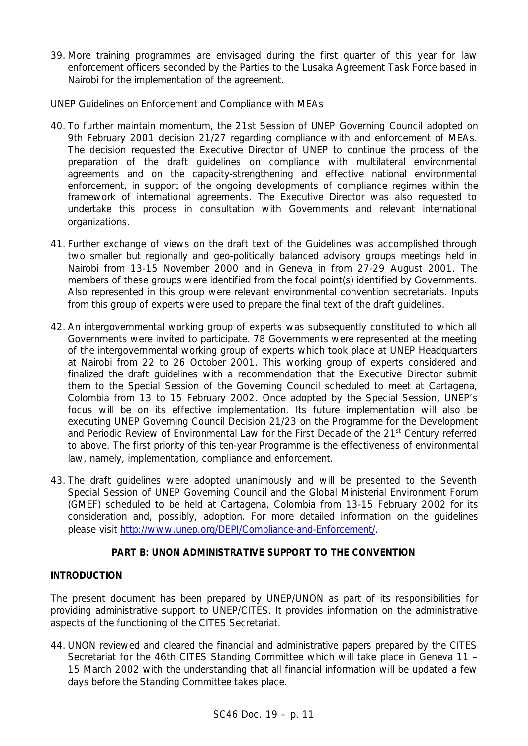39. More training programmes are envisaged during the first quarter of this year for law enforcement officers seconded by the Parties to the Lusaka Agreement Task Force based in Nairobi for the implementation of the agreement.

## UNEP Guidelines on Enforcement and Compliance with MEAs

- 40. To further maintain momentum, the 21st Session of UNEP Governing Council adopted on 9th February 2001 decision 21/27 regarding compliance with and enforcement of MEAs. The decision requested the Executive Director of UNEP to continue the process of the preparation of the draft guidelines on compliance with multilateral environmental agreements and on the capacity-strengthening and effective national environmental enforcement, in support of the ongoing developments of compliance regimes within the framework of international agreements. The Executive Director was also requested to undertake this process in consultation with Governments and relevant international organizations.
- 41. Further exchange of views on the draft text of the Guidelines was accomplished through two smaller but regionally and geo-politically balanced advisory groups meetings held in Nairobi from 13-15 November 2000 and in Geneva in from 27-29 August 2001. The members of these groups were identified from the focal point(s) identified by Governments. Also represented in this group were relevant environmental convention secretariats. Inputs from this group of experts were used to prepare the final text of the draft guidelines.
- 42. An intergovernmental working group of experts was subsequently constituted to which all Governments were invited to participate. 78 Governments were represented at the meeting of the intergovernmental working group of experts which took place at UNEP Headquarters at Nairobi from 22 to 26 October 2001. This working group of experts considered and finalized the draft guidelines with a recommendation that the Executive Director submit them to the Special Session of the Governing Council scheduled to meet at Cartagena, Colombia from 13 to 15 February 2002. Once adopted by the Special Session, UNEP's focus will be on its effective implementation. Its future implementation will also be executing UNEP Governing Council Decision 21/23 on the Programme for the Development and Periodic Review of Environmental Law for the First Decade of the 21<sup>st</sup> Century referred to above. The first priority of this ten-year Programme is the effectiveness of environmental law, namely, implementation, compliance and enforcement.
- 43. The draft guidelines were adopted unanimously and will be presented to the Seventh Special Session of UNEP Governing Council and the Global Ministerial Environment Forum (GMEF) scheduled to be held at Cartagena, Colombia from 13-15 February 2002 for its consideration and, possibly, adoption. For more detailed information on the guidelines please visit http://www.unep.org/DEPI/Compliance-and-Enforcement/.

# **PART B: UNON ADMINISTRATIVE SUPPORT TO THE CONVENTION**

# **INTRODUCTION**

The present document has been prepared by UNEP/UNON as part of its responsibilities for providing administrative support to UNEP/CITES. It provides information on the administrative aspects of the functioning of the CITES Secretariat.

44. UNON reviewed and cleared the financial and administrative papers prepared by the CITES Secretariat for the 46th CITES Standing Committee which will take place in Geneva 11 – 15 March 2002 with the understanding that all financial information will be updated a few days before the Standing Committee takes place.